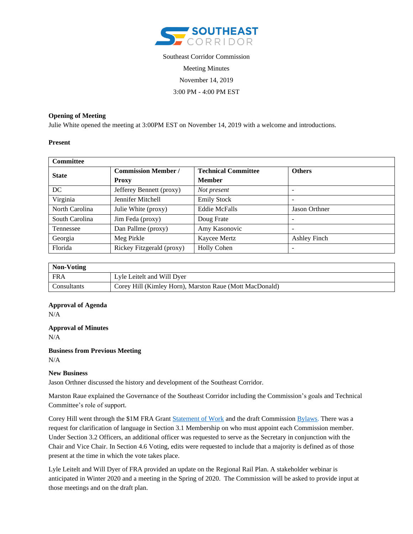

# Southeast Corridor Commission Meeting Minutes November 14, 2019 3:00 PM - 4:00 PM EST

## **Opening of Meeting**

Julie White opened the meeting at 3:00PM EST on November 14, 2019 with a welcome and introductions.

#### **Present**

| <b>Committee</b> |                            |                            |               |
|------------------|----------------------------|----------------------------|---------------|
| <b>State</b>     | <b>Commission Member /</b> | <b>Technical Committee</b> | <b>Others</b> |
|                  | <b>Proxy</b>               | <b>Member</b>              |               |
| DC               | Jefferey Bennett (proxy)   | Not present                | -             |
| Virginia         | Jennifer Mitchell          | <b>Emily Stock</b>         |               |
| North Carolina   | Julie White (proxy)        | <b>Eddie McFalls</b>       | Jason Orthner |
| South Carolina   | Jim Feda (proxy)           | Doug Frate                 | ۰             |
| Tennessee        | Dan Pallme (proxy)         | Amy Kasonovic              | -             |
| Georgia          | Meg Pirkle                 | Kaycee Mertz               | Ashley Finch  |
| Florida          | Rickey Fitzgerald (proxy)  | <b>Holly Cohen</b>         | -             |

| Non-Voting  |                                                         |  |
|-------------|---------------------------------------------------------|--|
| <b>FRA</b>  | Lyle Leitelt and Will Dyer                              |  |
| Consultants | Corey Hill (Kimley Horn), Marston Raue (Mott MacDonald) |  |

# **Approval of Agenda** N/A

**Approval of Minutes** N/A

**Business from Previous Meeting** N/A

## **New Business**

Jason Orthner discussed the history and development of the Southeast Corridor.

Marston Raue explained the Governance of the Southeast Corridor including the Commission's goals and Technical Committee's role of support.

Corey Hill went through the \$1M FRA Grant [Statement](https://mottmac.sharepoint.com/teams/bf-01826/teamdocs/1.0_Governance/2.0_Commission/2.0_SOW/2019.11.06_Southeast%20Corridor%20Rail%20Commission%20Attachment%202%20SOW%20FINAL.doc) of Work and the draft Commissio[n Bylaws.](https://mottmac.sharepoint.com/teams/bf-01826/teamdocs/1.0_Governance/2.0_Commission/3.0_Bylaws/FINAL%20BYLAWS.docx) There was a request for clarification of language in Section 3.1 Membership on who must appoint each Commission member. Under Section 3.2 Officers, an additional officer was requested to serve as the Secretary in conjunction with the Chair and Vice Chair. In Section 4.6 Voting, edits were requested to include that a majority is defined as of those present at the time in which the vote takes place.

Lyle Leitelt and Will Dyer of FRA provided an update on the Regional Rail Plan. A stakeholder webinar is anticipated in Winter 2020 and a meeting in the Spring of 2020. The Commission will be asked to provide input at those meetings and on the draft plan.